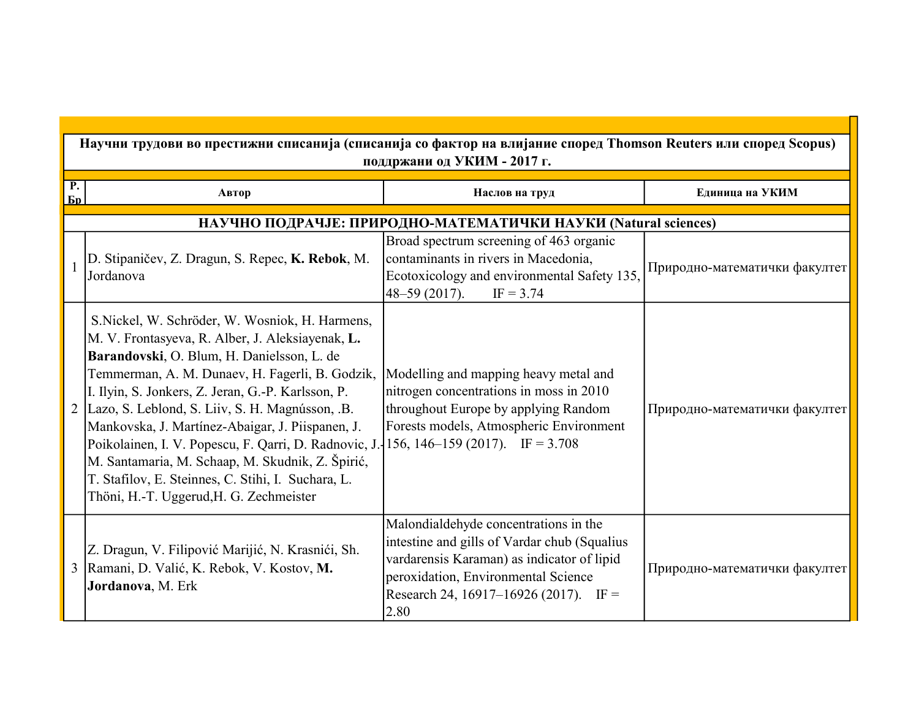|                                   | Научни трудови во престижни списанија (списанија со фактор на влијание според Thomson Reuters или според Scopus)<br>поддржани од УКИМ - 2017 г.                                                                                                                                                                                                                                                                                                                                                                                                                                  |                                                                                                                                                                                                                             |                               |  |
|-----------------------------------|----------------------------------------------------------------------------------------------------------------------------------------------------------------------------------------------------------------------------------------------------------------------------------------------------------------------------------------------------------------------------------------------------------------------------------------------------------------------------------------------------------------------------------------------------------------------------------|-----------------------------------------------------------------------------------------------------------------------------------------------------------------------------------------------------------------------------|-------------------------------|--|
| $\overline{\mathbf{P}}$ .<br>$En$ | Автор                                                                                                                                                                                                                                                                                                                                                                                                                                                                                                                                                                            | Наслов на труд                                                                                                                                                                                                              | Единица на УКИМ               |  |
|                                   |                                                                                                                                                                                                                                                                                                                                                                                                                                                                                                                                                                                  | НАУЧНО ПОДРАЧЈЕ: ПРИРОДНО-МАТЕМАТИЧКИ НАУКИ (Natural sciences)                                                                                                                                                              |                               |  |
|                                   | D. Stipaničev, Z. Dragun, S. Repec, K. Rebok, M.<br>Jordanova                                                                                                                                                                                                                                                                                                                                                                                                                                                                                                                    | Broad spectrum screening of 463 organic<br>contaminants in rivers in Macedonia,<br>Ecotoxicology and environmental Safety 135,<br>48-59 (2017).<br>$IF = 3.74$                                                              | Природно-математички факултет |  |
| $\overline{2}$                    | S. Nickel, W. Schröder, W. Wosniok, H. Harmens,<br>M. V. Frontasyeva, R. Alber, J. Aleksiayenak, L.<br>Barandovski, O. Blum, H. Danielsson, L. de<br>Temmerman, A. M. Dunaev, H. Fagerli, B. Godzik,<br>I. Ilyin, S. Jonkers, Z. Jeran, G.-P. Karlsson, P.<br>Lazo, S. Leblond, S. Liiv, S. H. Magnússon, .B.<br>Mankovska, J. Martínez-Abaigar, J. Piispanen, J.<br>Poikolainen, I. V. Popescu, F. Qarri, D. Radnovic, J.-<br>M. Santamaria, M. Schaap, M. Skudnik, Z. Špirić,<br>T. Stafilov, E. Steinnes, C. Stihi, I. Suchara, L.<br>Thöni, H.-T. Uggerud, H. G. Zechmeister | Modelling and mapping heavy metal and<br>nitrogen concentrations in moss in 2010<br>throughout Europe by applying Random<br>Forests models, Atmospheric Environment<br>156, 146–159 (2017). IF = $3.708$                    | Природно-математички факултет |  |
| 3 <sup>1</sup>                    | Z. Dragun, V. Filipović Marijić, N. Krasnići, Sh.<br>Ramani, D. Valić, K. Rebok, V. Kostov, M.<br>Jordanova, M. Erk                                                                                                                                                                                                                                                                                                                                                                                                                                                              | Malondialdehyde concentrations in the<br>intestine and gills of Vardar chub (Squalius<br>vardarensis Karaman) as indicator of lipid<br>peroxidation, Environmental Science<br>Research 24, 16917–16926 (2017). IF =<br>2.80 | Природно-математички факултет |  |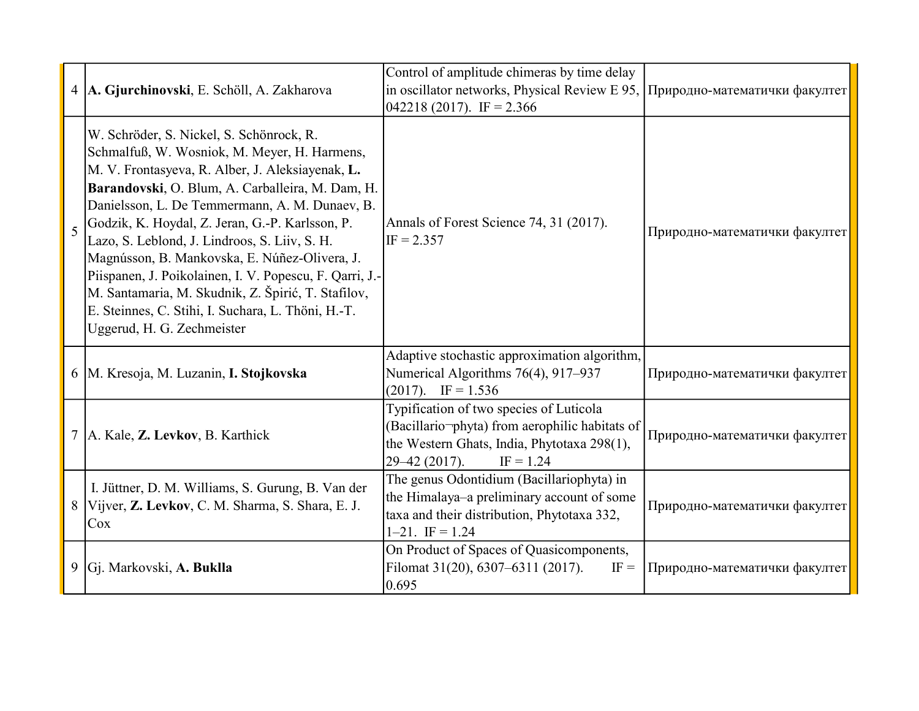|                         | 4 A. Gjurchinovski, E. Schöll, A. Zakharova                                                                                                                                                                                                                                                                                                                                                                                                                                                                                                                                                                  | Control of amplitude chimeras by time delay<br>in oscillator networks, Physical Review E 95,<br>$042218(2017)$ . IF = 2.366                                              | Природно-математички факултет |
|-------------------------|--------------------------------------------------------------------------------------------------------------------------------------------------------------------------------------------------------------------------------------------------------------------------------------------------------------------------------------------------------------------------------------------------------------------------------------------------------------------------------------------------------------------------------------------------------------------------------------------------------------|--------------------------------------------------------------------------------------------------------------------------------------------------------------------------|-------------------------------|
| $\overline{\mathbf{5}}$ | W. Schröder, S. Nickel, S. Schönrock, R.<br>Schmalfuß, W. Wosniok, M. Meyer, H. Harmens,<br>M. V. Frontasyeva, R. Alber, J. Aleksiayenak, L.<br>Barandovski, O. Blum, A. Carballeira, M. Dam, H.<br>Danielsson, L. De Temmermann, A. M. Dunaev, B.<br>Godzik, K. Hoydal, Z. Jeran, G.-P. Karlsson, P.<br>Lazo, S. Leblond, J. Lindroos, S. Liiv, S. H.<br>Magnússon, B. Mankovska, E. Núñez-Olivera, J.<br>Piispanen, J. Poikolainen, I. V. Popescu, F. Qarri, J.-<br>M. Santamaria, M. Skudnik, Z. Špirić, T. Stafilov,<br>E. Steinnes, C. Stihi, I. Suchara, L. Thöni, H.-T.<br>Uggerud, H. G. Zechmeister | Annals of Forest Science 74, 31 (2017).<br>$IF = 2.357$                                                                                                                  | Природно-математички факултет |
|                         | 6   M. Kresoja, M. Luzanin, I. Stojkovska                                                                                                                                                                                                                                                                                                                                                                                                                                                                                                                                                                    | Adaptive stochastic approximation algorithm,<br>Numerical Algorithms 76(4), 917-937<br>$(2017)$ . IF = 1.536                                                             | Природно-математички факултет |
| 7 <sup>1</sup>          | A. Kale, Z. Levkov, B. Karthick                                                                                                                                                                                                                                                                                                                                                                                                                                                                                                                                                                              | Typification of two species of Luticola<br>(Bacillario-phyta) from aerophilic habitats of<br>the Western Ghats, India, Phytotaxa 298(1),<br>$IF = 1.24$<br>29-42 (2017). | Природно-математички факултет |
| 8 <sup>1</sup>          | I. Jüttner, D. M. Williams, S. Gurung, B. Van der<br>Vijver, Z. Levkov, C. M. Sharma, S. Shara, E. J.<br>Cox                                                                                                                                                                                                                                                                                                                                                                                                                                                                                                 | The genus Odontidium (Bacillariophyta) in<br>the Himalaya-a preliminary account of some<br>taxa and their distribution, Phytotaxa 332,<br>$1-21.$ IF = 1.24              | Природно-математички факултет |
|                         | 9 Gj. Markovski, A. Buklla                                                                                                                                                                                                                                                                                                                                                                                                                                                                                                                                                                                   | On Product of Spaces of Quasicomponents,<br>Filomat 31(20), 6307–6311 (2017).<br>$IF =$<br>0.695                                                                         | Природно-математички факултет |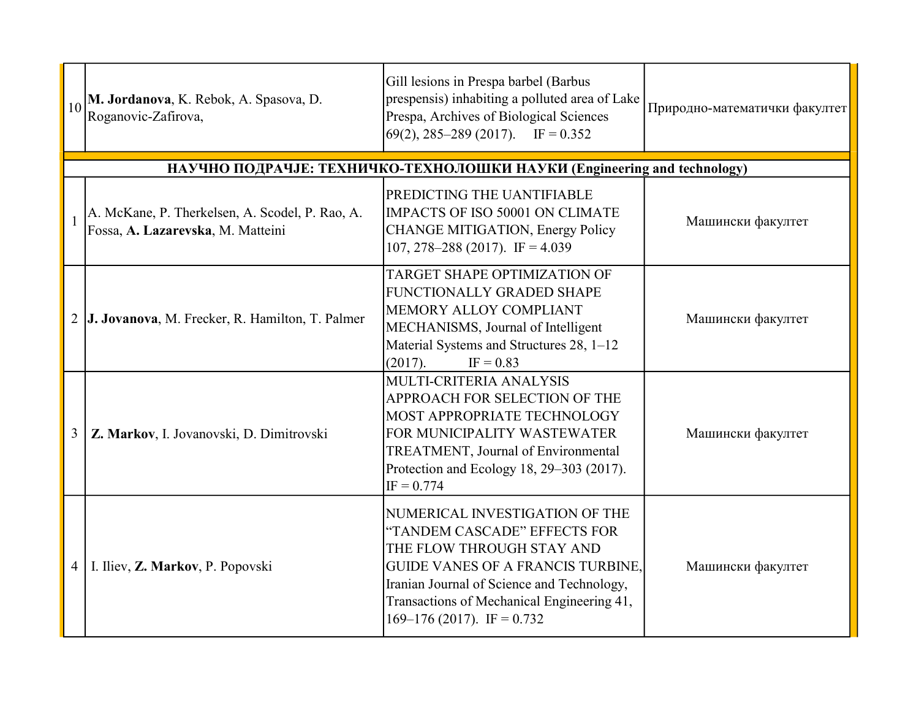| 10             | M. Jordanova, K. Rebok, A. Spasova, D.<br>Roganovic-Zafirova,                        | Gill lesions in Prespa barbel (Barbus<br>prespensis) inhabiting a polluted area of Lake<br>Prespa, Archives of Biological Sciences<br>$(69(2), 285-289 (2017))$ . IF = 0.352                                                                                        | Природно-математички факултет |
|----------------|--------------------------------------------------------------------------------------|---------------------------------------------------------------------------------------------------------------------------------------------------------------------------------------------------------------------------------------------------------------------|-------------------------------|
|                |                                                                                      | НАУЧНО ПОДРАЧЈЕ: ТЕХНИЧКО-ТЕХНОЛОШКИ НАУКИ (Engineering and technology)                                                                                                                                                                                             |                               |
|                | A. McKane, P. Therkelsen, A. Scodel, P. Rao, A.<br>Fossa, A. Lazarevska, M. Matteini | PREDICTING THE UANTIFIABLE<br>IMPACTS OF ISO 50001 ON CLIMATE<br>CHANGE MITIGATION, Energy Policy<br>107, 278–288 (2017). IF = $4.039$                                                                                                                              | Машински факултет             |
| $\overline{2}$ | J. Jovanova, M. Frecker, R. Hamilton, T. Palmer                                      | TARGET SHAPE OPTIMIZATION OF<br>FUNCTIONALLY GRADED SHAPE<br>MEMORY ALLOY COMPLIANT<br>MECHANISMS, Journal of Intelligent<br>Material Systems and Structures 28, 1-12<br>(2017).<br>$IF = 0.83$                                                                     | Машински факултет             |
| 3              | Z. Markov, I. Jovanovski, D. Dimitrovski                                             | MULTI-CRITERIA ANALYSIS<br>APPROACH FOR SELECTION OF THE<br>MOST APPROPRIATE TECHNOLOGY<br>FOR MUNICIPALITY WASTEWATER<br><b>TREATMENT, Journal of Environmental</b><br>Protection and Ecology 18, 29–303 (2017).<br>$IF = 0.774$                                   | Машински факултет             |
| 4              | I. Iliev, Z. Markov, P. Popovski                                                     | NUMERICAL INVESTIGATION OF THE<br>"TANDEM CASCADE" EFFECTS FOR<br>THE FLOW THROUGH STAY AND<br><b>GUIDE VANES OF A FRANCIS TURBINE,</b><br>Iranian Journal of Science and Technology,<br>Transactions of Mechanical Engineering 41,<br>169–176 (2017). IF = $0.732$ | Машински факултет             |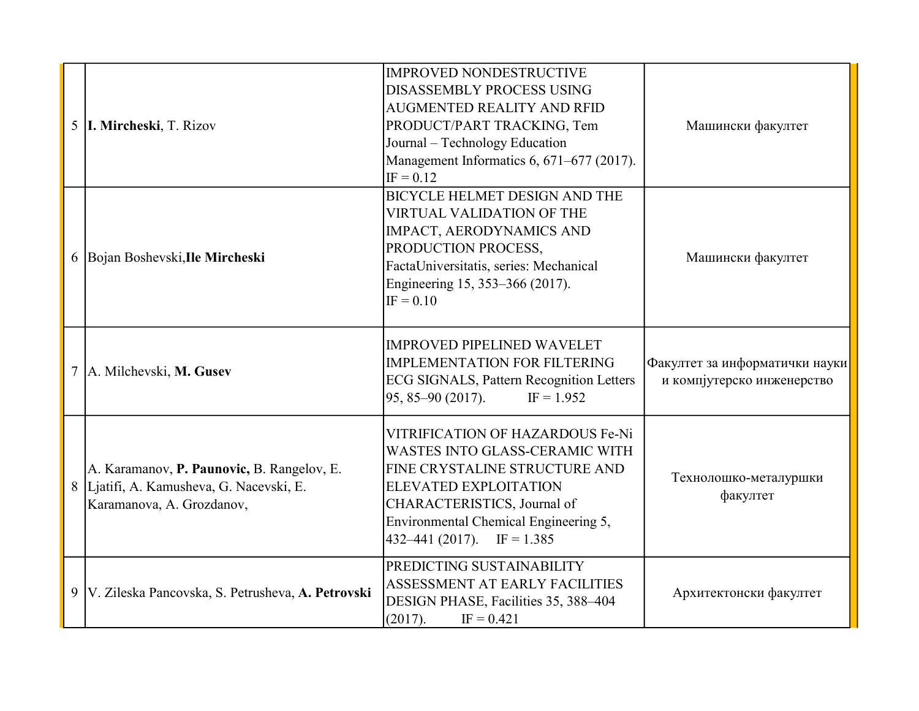| 5 <sup>5</sup> | I. Mircheski, T. Rizov                                                                                              | IMPROVED NONDESTRUCTIVE<br><b>DISASSEMBLY PROCESS USING</b><br><b>AUGMENTED REALITY AND RFID</b><br>PRODUCT/PART TRACKING, Tem<br>Journal – Technology Education<br>Management Informatics 6, 671-677 (2017).<br>$IF = 0.12$                | Машински факултет                                            |
|----------------|---------------------------------------------------------------------------------------------------------------------|---------------------------------------------------------------------------------------------------------------------------------------------------------------------------------------------------------------------------------------------|--------------------------------------------------------------|
|                | 6 Bojan Boshevski, Ile Mircheski                                                                                    | <b>BICYCLE HELMET DESIGN AND THE</b><br><b>VIRTUAL VALIDATION OF THE</b><br>IMPACT, AERODYNAMICS AND<br>PRODUCTION PROCESS,<br>FactaUniversitatis, series: Mechanical<br>Engineering 15, 353–366 (2017).<br>$IF = 0.10$                     | Машински факултет                                            |
| $\tau$         | A. Milchevski, M. Gusev                                                                                             | <b>IMPROVED PIPELINED WAVELET</b><br><b>IMPLEMENTATION FOR FILTERING</b><br><b>ECG SIGNALS, Pattern Recognition Letters</b><br>$95, 85 - 90 (2017)$ .<br>$IF = 1.952$                                                                       | Факултет за информатички науки<br>и компјутерско инженерство |
|                | A. Karamanov, P. Paunovic, B. Rangelov, E.<br>8 Ljatifi, A. Kamusheva, G. Nacevski, E.<br>Karamanova, A. Grozdanov, | VITRIFICATION OF HAZARDOUS Fe-Ni<br>WASTES INTO GLASS-CERAMIC WITH<br>FINE CRYSTALINE STRUCTURE AND<br><b>ELEVATED EXPLOITATION</b><br>CHARACTERISTICS, Journal of<br>Environmental Chemical Engineering 5,<br>$ 432-441(2017).$ IF = 1.385 | Технолошко-металуршки<br>факултет                            |
| 9              | V. Zileska Pancovska, S. Petrusheva, A. Petrovski                                                                   | PREDICTING SUSTAINABILITY<br>ASSESSMENT AT EARLY FACILITIES<br>DESIGN PHASE, Facilities 35, 388-404<br>(2017).<br>$IF = 0.421$                                                                                                              | Архитектонски факултет                                       |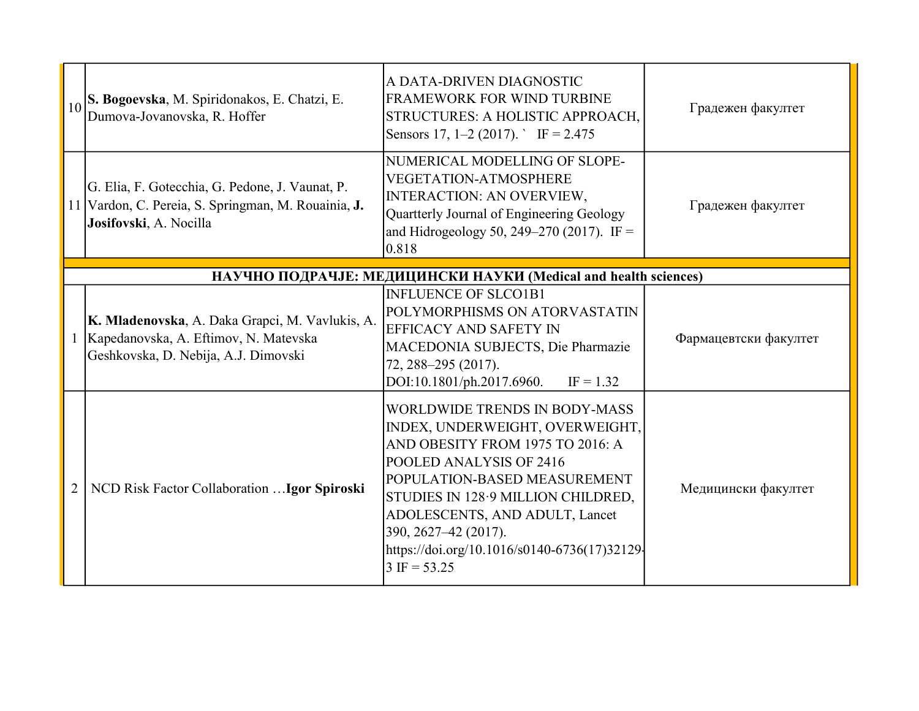|                | S. Bogoevska, M. Spiridonakos, E. Chatzi, E.<br>Dumova-Jovanovska, R. Hoffer                                                     | A DATA-DRIVEN DIAGNOSTIC<br><b>FRAMEWORK FOR WIND TURBINE</b><br>STRUCTURES: A HOLISTIC APPROACH,<br>Sensors 17, 1–2 (2017). F = 2.475                                                                                                                                                                                                    | Градежен факултет     |
|----------------|----------------------------------------------------------------------------------------------------------------------------------|-------------------------------------------------------------------------------------------------------------------------------------------------------------------------------------------------------------------------------------------------------------------------------------------------------------------------------------------|-----------------------|
|                | G. Elia, F. Gotecchia, G. Pedone, J. Vaunat, P.<br>11 Vardon, C. Pereia, S. Springman, M. Rouainia, J.<br>Josifovski, A. Nocilla | NUMERICAL MODELLING OF SLOPE-<br><b>VEGETATION-ATMOSPHERE</b><br><b>INTERACTION: AN OVERVIEW,</b><br>Quartterly Journal of Engineering Geology<br>and Hidrogeology 50, 249-270 (2017). IF =<br>0.818                                                                                                                                      | Градежен факултет     |
|                |                                                                                                                                  | НАУЧНО ПОДРАЧЈЕ: МЕДИЦИНСКИ НАУКИ (Medical and health sciences)                                                                                                                                                                                                                                                                           |                       |
|                | K. Mladenovska, A. Daka Grapci, M. Vavlukis, A.<br>Kapedanovska, A. Eftimov, N. Matevska<br>Geshkovska, D. Nebija, A.J. Dimovski | <b>INFLUENCE OF SLCO1B1</b><br>POLYMORPHISMS ON ATORVASTATIN<br><b>EFFICACY AND SAFETY IN</b><br>MACEDONIA SUBJECTS, Die Pharmazie<br>72, 288-295 (2017).<br>DOI:10.1801/ph.2017.6960.<br>$IF = 1.32$                                                                                                                                     | Фармацевтски факултет |
| $\overline{2}$ | NCD Risk Factor Collaboration  Igor Spiroski                                                                                     | WORLDWIDE TRENDS IN BODY-MASS<br>INDEX, UNDERWEIGHT, OVERWEIGHT,<br>AND OBESITY FROM 1975 TO 2016: A<br>POOLED ANALYSIS OF 2416<br>POPULATION-BASED MEASUREMENT<br>STUDIES IN 128.9 MILLION CHILDRED,<br>ADOLESCENTS, AND ADULT, Lancet<br>390, 2627–42 (2017).<br>https://doi.org/10.1016/s0140-6736(17)32129-<br>$3 \text{ IF} = 53.25$ | Медицински факултет   |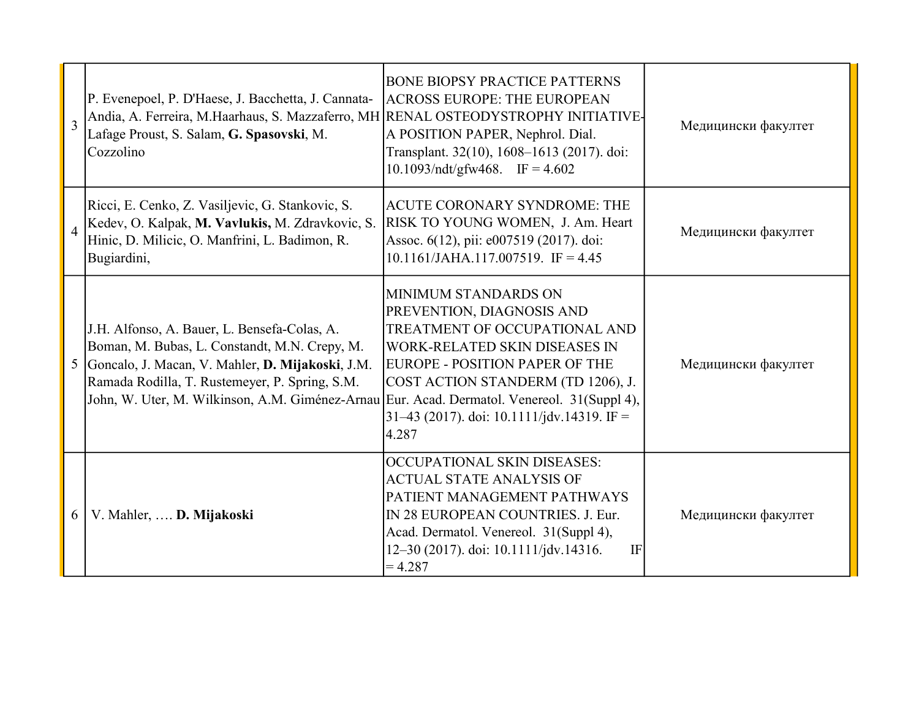| 3              | P. Evenepoel, P. D'Haese, J. Bacchetta, J. Cannata-<br>Andia, A. Ferreira, M.Haarhaus, S. Mazzaferro, MH RENAL OSTEODYSTROPHY INITIATIVE-<br>Lafage Proust, S. Salam, G. Spasovski, M.<br>Cozzolino                                                                                                | <b>BONE BIOPSY PRACTICE PATTERNS</b><br><b>ACROSS EUROPE: THE EUROPEAN</b><br>A POSITION PAPER, Nephrol. Dial.<br>Transplant. 32(10), 1608-1613 (2017). doi:<br>10.1093/ndt/gfw468. IF = $4.602$                                                                   | Медицински факултет |
|----------------|----------------------------------------------------------------------------------------------------------------------------------------------------------------------------------------------------------------------------------------------------------------------------------------------------|--------------------------------------------------------------------------------------------------------------------------------------------------------------------------------------------------------------------------------------------------------------------|---------------------|
|                | Ricci, E. Cenko, Z. Vasiljevic, G. Stankovic, S.<br>Kedev, O. Kalpak, M. Vavlukis, M. Zdravkovic, S.<br>Hinic, D. Milicic, O. Manfrini, L. Badimon, R.<br>Bugiardini,                                                                                                                              | <b>ACUTE CORONARY SYNDROME: THE</b><br>RISK TO YOUNG WOMEN, J. Am. Heart<br>Assoc. 6(12), pii: e007519 (2017). doi:<br>10.1161/JAHA.117.007519. IF = 4.45                                                                                                          | Медицински факултет |
| 5 <sup>1</sup> | J.H. Alfonso, A. Bauer, L. Bensefa-Colas, A.<br>Boman, M. Bubas, L. Constandt, M.N. Crepy, M.<br>Goncalo, J. Macan, V. Mahler, D. Mijakoski, J.M.<br>Ramada Rodilla, T. Rustemeyer, P. Spring, S.M.<br>John, W. Uter, M. Wilkinson, A.M. Giménez-Arnau Eur. Acad. Dermatol. Venereol. 31(Suppl 4), | MINIMUM STANDARDS ON<br>PREVENTION, DIAGNOSIS AND<br><b>TREATMENT OF OCCUPATIONAL AND</b><br>WORK-RELATED SKIN DISEASES IN<br><b>EUROPE - POSITION PAPER OF THE</b><br>COST ACTION STANDERM (TD 1206), J.<br>$31-43$ (2017). doi: 10.1111/jdv.14319. IF =<br>4.287 | Медицински факултет |
| 6              | V. Mahler,  D. Mijakoski                                                                                                                                                                                                                                                                           | OCCUPATIONAL SKIN DISEASES:<br><b>ACTUAL STATE ANALYSIS OF</b><br>PATIENT MANAGEMENT PATHWAYS<br>IN 28 EUROPEAN COUNTRIES. J. Eur.<br>Acad. Dermatol. Venereol. 31(Suppl 4),<br>12-30 (2017). doi: 10.1111/jdv.14316.<br>IF<br>$=4.287$                            | Медицински факултет |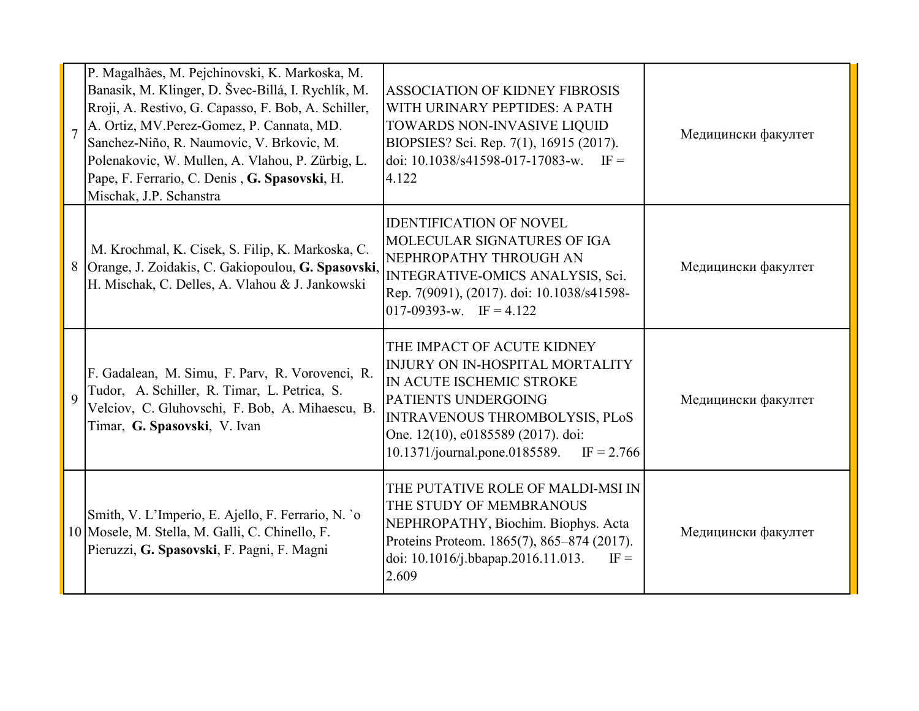| $\overline{7}$ | P. Magalhães, M. Pejchinovski, K. Markoska, M.<br>Banasik, M. Klinger, D. Švec-Billá, I. Rychlík, M.<br>Rroji, A. Restivo, G. Capasso, F. Bob, A. Schiller,<br>A. Ortiz, MV.Perez-Gomez, P. Cannata, MD.<br>Sanchez-Niño, R. Naumovic, V. Brkovic, M.<br>Polenakovic, W. Mullen, A. Vlahou, P. Zürbig, L.<br>Pape, F. Ferrario, C. Denis, G. Spasovski, H.<br>Mischak, J.P. Schanstra | <b>ASSOCIATION OF KIDNEY FIBROSIS</b><br>WITH URINARY PEPTIDES: A PATH<br>TOWARDS NON-INVASIVE LIQUID<br>BIOPSIES? Sci. Rep. 7(1), 16915 (2017).<br>doi: $10.1038/s41598-017-17083-w$ . IF =<br>4.122                                              | Медицински факултет |
|----------------|---------------------------------------------------------------------------------------------------------------------------------------------------------------------------------------------------------------------------------------------------------------------------------------------------------------------------------------------------------------------------------------|----------------------------------------------------------------------------------------------------------------------------------------------------------------------------------------------------------------------------------------------------|---------------------|
| 8              | M. Krochmal, K. Cisek, S. Filip, K. Markoska, C.<br>Orange, J. Zoidakis, C. Gakiopoulou, G. Spasovski,<br>H. Mischak, C. Delles, A. Vlahou & J. Jankowski                                                                                                                                                                                                                             | <b>IDENTIFICATION OF NOVEL</b><br>MOLECULAR SIGNATURES OF IGA<br>NEPHROPATHY THROUGH AN<br>INTEGRATIVE-OMICS ANALYSIS, Sci.<br>Rep. 7(9091), (2017). doi: 10.1038/s41598-<br>$017-09393-w$ . IF = 4.122                                            | Медицински факултет |
| 9              | F. Gadalean, M. Simu, F. Parv, R. Vorovenci, R.<br>Tudor, A. Schiller, R. Timar, L. Petrica, S.<br>Velciov, C. Gluhovschi, F. Bob, A. Mihaescu, B.<br>Timar, G. Spasovski, V. Ivan                                                                                                                                                                                                    | THE IMPACT OF ACUTE KIDNEY<br><b>INJURY ON IN-HOSPITAL MORTALITY</b><br>IN ACUTE ISCHEMIC STROKE<br>PATIENTS UNDERGOING<br><b>INTRAVENOUS THROMBOLYSIS, PLoS</b><br>One. 12(10), e0185589 (2017). doi:<br>10.1371/journal.pone.0185589. IF = 2.766 | Медицински факултет |
|                | Smith, V. L'Imperio, E. Ajello, F. Ferrario, N. `o<br>10 Mosele, M. Stella, M. Galli, C. Chinello, F.<br>Pieruzzi, G. Spasovski, F. Pagni, F. Magni                                                                                                                                                                                                                                   | THE PUTATIVE ROLE OF MALDI-MSI IN<br>THE STUDY OF MEMBRANOUS<br>NEPHROPATHY, Biochim. Biophys. Acta<br>Proteins Proteom. 1865(7), 865-874 (2017).<br>doi: 10.1016/j.bbapap.2016.11.013.<br>$IF =$<br>2.609                                         | Медицински факултет |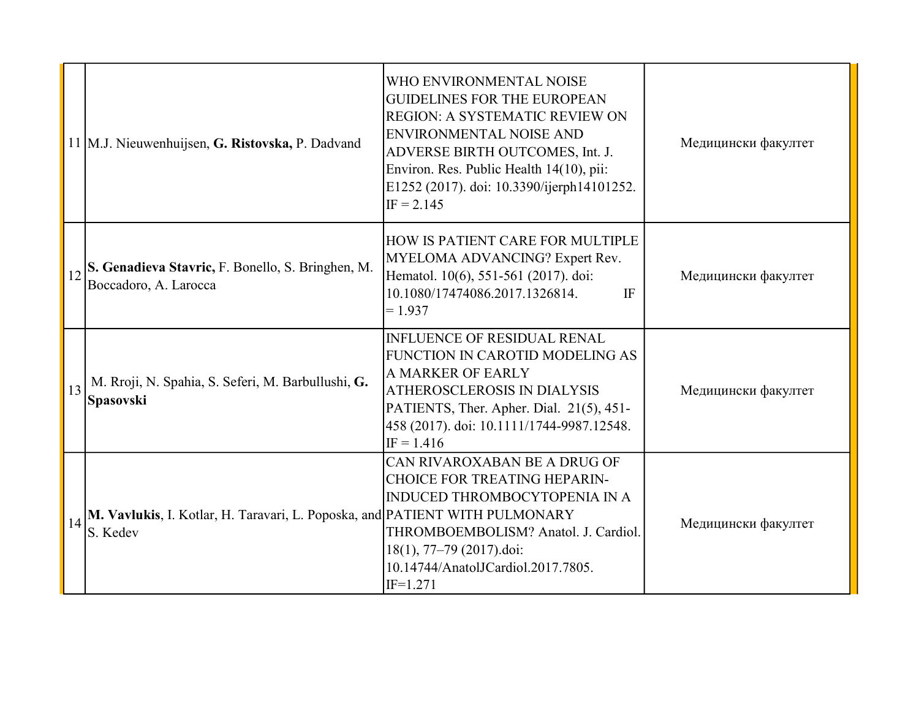|    | 11 M.J. Nieuwenhuijsen, G. Ristovska, P. Dadvand                                        | WHO ENVIRONMENTAL NOISE<br><b>GUIDELINES FOR THE EUROPEAN</b><br>REGION: A SYSTEMATIC REVIEW ON<br><b>ENVIRONMENTAL NOISE AND</b><br>ADVERSE BIRTH OUTCOMES, Int. J.<br>Environ. Res. Public Health 14(10), pii:<br>E1252 (2017). doi: 10.3390/ijerph14101252.<br>$IF = 2.145$ | Медицински факултет |
|----|-----------------------------------------------------------------------------------------|--------------------------------------------------------------------------------------------------------------------------------------------------------------------------------------------------------------------------------------------------------------------------------|---------------------|
| 12 | S. Genadieva Stavric, F. Bonello, S. Bringhen, M.<br>Boccadoro, A. Larocca              | HOW IS PATIENT CARE FOR MULTIPLE<br>MYELOMA ADVANCING? Expert Rev.<br>Hematol. 10(6), 551-561 (2017). doi:<br>10.1080/17474086.2017.1326814.<br><b>IF</b><br>$= 1.937$                                                                                                         | Медицински факултет |
| 13 | M. Rroji, N. Spahia, S. Seferi, M. Barbullushi, G.<br><b>Spasovski</b>                  | <b>INFLUENCE OF RESIDUAL RENAL</b><br>FUNCTION IN CAROTID MODELING AS<br>A MARKER OF EARLY<br>ATHEROSCLEROSIS IN DIALYSIS<br>PATIENTS, Ther. Apher. Dial. 21(5), 451-<br>458 (2017). doi: 10.1111/1744-9987.12548.<br>$IF = 1.416$                                             | Медицински факултет |
|    | M. Vavlukis, I. Kotlar, H. Taravari, L. Poposka, and PATIENT WITH PULMONARY<br>S. Kedev | CAN RIVAROXABAN BE A DRUG OF<br><b>CHOICE FOR TREATING HEPARIN-</b><br><b>INDUCED THROMBOCYTOPENIA IN A</b><br>THROMBOEMBOLISM? Anatol. J. Cardiol.<br>$18(1), 77-79 (2017)$ .doi:<br>10.14744/AnatolJCardiol.2017.7805.<br>$IF=1.271$                                         | Медицински факултет |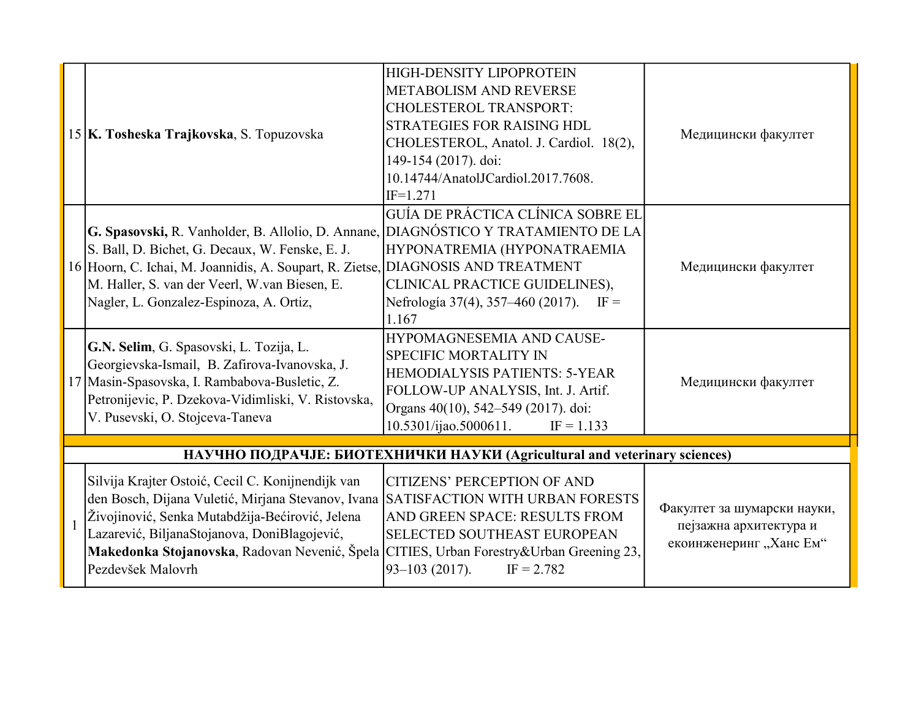|              | 15 K. Tosheska Trajkovska, S. Topuzovska                                                                                                                                                                                                                                                                                                                   | <b>HIGH-DENSITY LIPOPROTEIN</b><br><b>METABOLISM AND REVERSE</b><br><b>CHOLESTEROL TRANSPORT:</b><br><b>STRATEGIES FOR RAISING HDL</b><br>CHOLESTEROL, Anatol. J. Cardiol. 18(2),<br>149-154 (2017). doi:<br>10.14744/AnatolJCardiol.2017.7608.<br>$IF=1.271$ | Медицински факултет                                                              |
|--------------|------------------------------------------------------------------------------------------------------------------------------------------------------------------------------------------------------------------------------------------------------------------------------------------------------------------------------------------------------------|---------------------------------------------------------------------------------------------------------------------------------------------------------------------------------------------------------------------------------------------------------------|----------------------------------------------------------------------------------|
|              | G. Spasovski, R. Vanholder, B. Allolio, D. Annane,<br>S. Ball, D. Bichet, G. Decaux, W. Fenske, E. J.<br>16 Hoorn, C. Ichai, M. Joannidis, A. Soupart, R. Zietse,<br>M. Haller, S. van der Veerl, W.van Biesen, E.<br>Nagler, L. Gonzalez-Espinoza, A. Ortiz,                                                                                              | GUÍA DE PRÁCTICA CLÍNICA SOBRE EL<br>DIAGNÓSTICO Y TRATAMIENTO DE LA<br>HYPONATREMIA (HYPONATRAEMIA<br><b>DIAGNOSIS AND TREATMENT</b><br>CLINICAL PRACTICE GUIDELINES),<br>Nefrología 37(4), 357–460 (2017).<br>$IF =$<br>1.167                               | Медицински факултет                                                              |
|              | G.N. Selim, G. Spasovski, L. Tozija, L.<br>Georgievska-Ismail, B. Zafirova-Ivanovska, J.<br>17 Masin-Spasovska, I. Rambabova-Busletic, Z.<br>Petronijevic, P. Dzekova-Vidimliski, V. Ristovska,<br>V. Pusevski, O. Stojceva-Taneva                                                                                                                         | HYPOMAGNESEMIA AND CAUSE-<br><b>SPECIFIC MORTALITY IN</b><br><b>HEMODIALYSIS PATIENTS: 5-YEAR</b><br>FOLLOW-UP ANALYSIS, Int. J. Artif.<br>Organs 40(10), 542-549 (2017). doi:<br>$10.5301/i$ jao.5000611.<br>$IF = 1.133$                                    | Медицински факултет                                                              |
|              |                                                                                                                                                                                                                                                                                                                                                            | НАУЧНО ПОДРАЧЈЕ: БИОТЕХНИЧКИ НАУКИ (Agricultural and veterinary sciences)                                                                                                                                                                                     |                                                                                  |
| $\mathbf{1}$ | Silvija Krajter Ostoić, Cecil C. Konijnendijk van<br>den Bosch, Dijana Vuletić, Mirjana Stevanov, Ivana SATISFACTION WITH URBAN FORESTS<br>Živojinović, Senka Mutabdžija-Bećirović, Jelena<br>Lazarević, BiljanaStojanova, DoniBlagojević,<br>Makedonka Stojanovska, Radovan Nevenić, Špela CITIES, Urban Forestry&Urban Greening 23,<br>Pezdevšek Malovrh | <b>CITIZENS' PERCEPTION OF AND</b><br>AND GREEN SPACE: RESULTS FROM<br><b>SELECTED SOUTHEAST EUROPEAN</b><br>$93 - 103$ (2017).<br>$IF = 2.782$                                                                                                               | Факултет за шумарски науки,<br>пејзажна архитектура и<br>екоинженеринг "Ханс Ем" |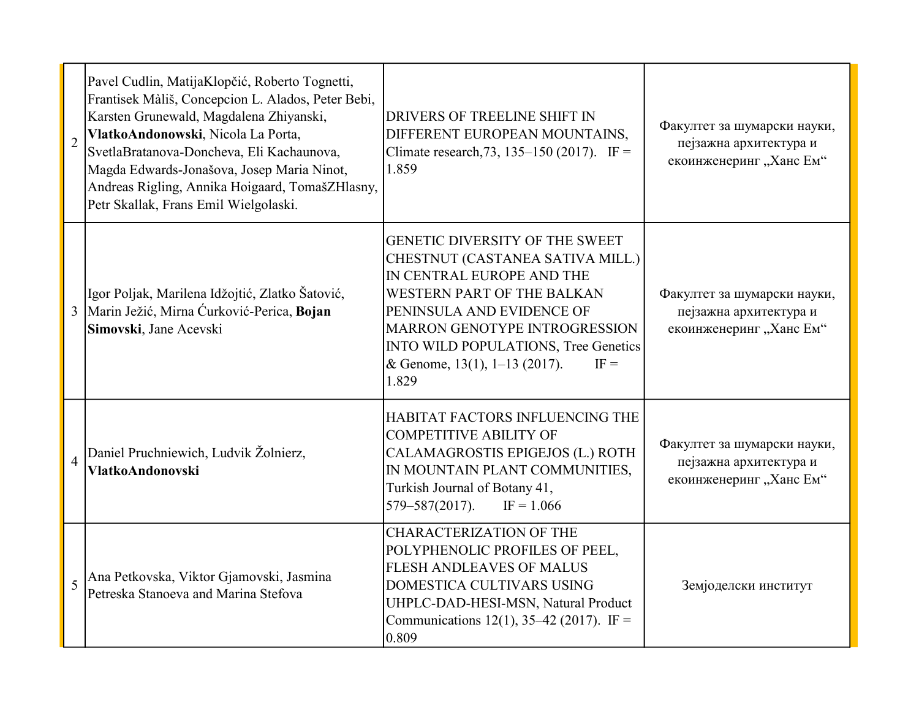| $\overline{2}$ | Pavel Cudlin, MatijaKlopčić, Roberto Tognetti,<br>Frantisek Màliš, Concepcion L. Alados, Peter Bebi,<br>Karsten Grunewald, Magdalena Zhiyanski,<br>VlatkoAndonowski, Nicola La Porta,<br>SvetlaBratanova-Doncheva, Eli Kachaunova,<br>Magda Edwards-Jonašova, Josep Maria Ninot,<br>Andreas Rigling, Annika Hoigaard, TomašZHlasny,<br>Petr Skallak, Frans Emil Wielgolaski. | DRIVERS OF TREELINE SHIFT IN<br>DIFFERENT EUROPEAN MOUNTAINS,<br>Climate research, 73, 135–150 (2017). IF =<br>1.859                                                                                                                                                                                  | Факултет за шумарски науки,<br>пејзажна архитектура и<br>екоинженеринг "Ханс Ем" |
|----------------|------------------------------------------------------------------------------------------------------------------------------------------------------------------------------------------------------------------------------------------------------------------------------------------------------------------------------------------------------------------------------|-------------------------------------------------------------------------------------------------------------------------------------------------------------------------------------------------------------------------------------------------------------------------------------------------------|----------------------------------------------------------------------------------|
|                | Igor Poljak, Marilena Idžojtić, Zlatko Šatović,<br>3 Marin Ježić, Mirna Ćurković-Perica, Bojan<br>Simovski, Jane Acevski                                                                                                                                                                                                                                                     | <b>GENETIC DIVERSITY OF THE SWEET</b><br>CHESTNUT (CASTANEA SATIVA MILL.)<br>IN CENTRAL EUROPE AND THE<br>WESTERN PART OF THE BALKAN<br>PENINSULA AND EVIDENCE OF<br><b>MARRON GENOTYPE INTROGRESSION</b><br>INTO WILD POPULATIONS, Tree Genetics<br>& Genome, 13(1), 1–13 (2017).<br>$IF =$<br>1.829 | Факултет за шумарски науки,<br>пејзажна архитектура и<br>екоинженеринг "Ханс Ем" |
| $\overline{4}$ | Daniel Pruchniewich, Ludvik Žolnierz,<br><b>VlatkoAndonovski</b>                                                                                                                                                                                                                                                                                                             | HABITAT FACTORS INFLUENCING THE<br><b>COMPETITIVE ABILITY OF</b><br>CALAMAGROSTIS EPIGEJOS (L.) ROTH<br>IN MOUNTAIN PLANT COMMUNITIES,<br>Turkish Journal of Botany 41,<br>$579 - 587(2017)$ .<br>$IF = 1.066$                                                                                        | Факултет за шумарски науки,<br>пејзажна архитектура и<br>екоинженеринг "Ханс Ем" |
| 5              | Ana Petkovska, Viktor Gjamovski, Jasmina<br>Petreska Stanoeva and Marina Stefova                                                                                                                                                                                                                                                                                             | <b>CHARACTERIZATION OF THE</b><br>POLYPHENOLIC PROFILES OF PEEL,<br><b>FLESH ANDLEAVES OF MALUS</b><br>DOMESTICA CULTIVARS USING<br>UHPLC-DAD-HESI-MSN, Natural Product<br>Communications 12(1), 35–42 (2017). IF =<br>0.809                                                                          | Земјоделски институт                                                             |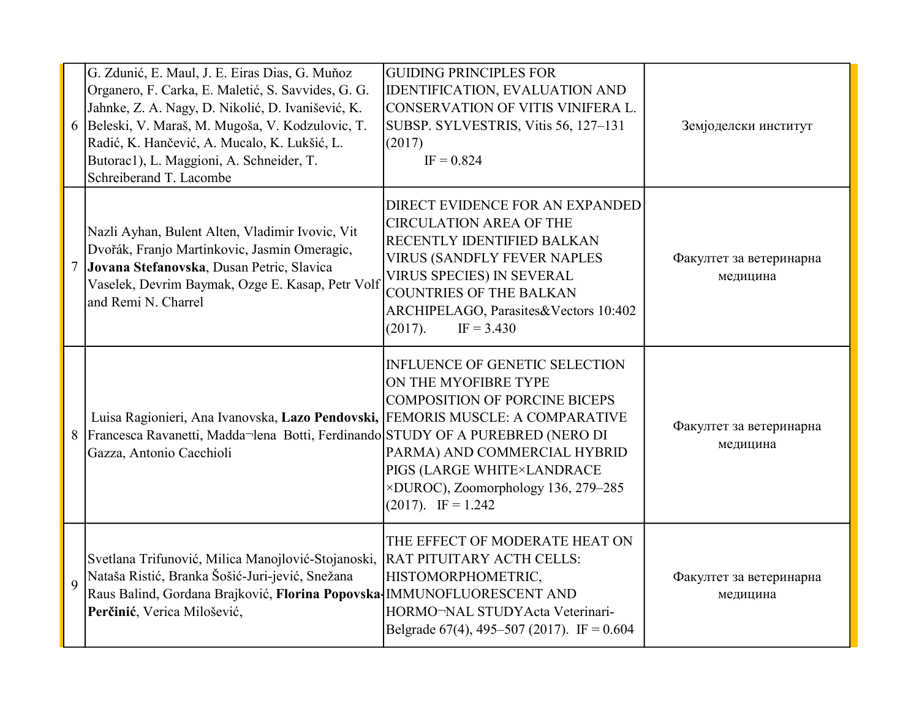|             | G. Zdunić, E. Maul, J. E. Eiras Dias, G. Muňoz<br>Organero, F. Carka, E. Maletić, S. Savvides, G. G.<br>Jahnke, Z. A. Nagy, D. Nikolić, D. Ivanišević, K.<br>6 Beleski, V. Maraš, M. Mugoša, V. Kodzulovic, T.<br>Radić, K. Hančević, A. Mucalo, K. Lukšić, L.<br>Butorac1), L. Maggioni, A. Schneider, T.<br>Schreiberand T. Lacombe | <b>GUIDING PRINCIPLES FOR</b><br><b>IDENTIFICATION, EVALUATION AND</b><br>CONSERVATION OF VITIS VINIFERA L.<br>SUBSP. SYLVESTRIS, Vitis 56, 127-131<br>(2017)<br>$IF = 0.824$                                                                                                   | Земјоделски институт                |
|-------------|---------------------------------------------------------------------------------------------------------------------------------------------------------------------------------------------------------------------------------------------------------------------------------------------------------------------------------------|---------------------------------------------------------------------------------------------------------------------------------------------------------------------------------------------------------------------------------------------------------------------------------|-------------------------------------|
|             | Nazli Ayhan, Bulent Alten, Vladimir Ivovic, Vit<br>Dvořák, Franjo Martinkovic, Jasmin Omeragic,<br>Jovana Stefanovska, Dusan Petric, Slavica<br>Vaselek, Devrim Baymak, Ozge E. Kasap, Petr Volf<br>and Remi N. Charrel                                                                                                               | DIRECT EVIDENCE FOR AN EXPANDED<br><b>CIRCULATION AREA OF THE</b><br>RECENTLY IDENTIFIED BALKAN<br><b>VIRUS (SANDFLY FEVER NAPLES</b><br><b>VIRUS SPECIES) IN SEVERAL</b><br><b>COUNTRIES OF THE BALKAN</b><br>ARCHIPELAGO, Parasites&Vectors 10:402<br>(2017).<br>$IF = 3.430$ | Факултет за ветеринарна<br>медицина |
| 8           | Luisa Ragionieri, Ana Ivanovska, Lazo Pendovski, FEMORIS MUSCLE: A COMPARATIVE<br>Francesca Ravanetti, Madda-lena Botti, Ferdinando STUDY OF A PUREBRED (NERO DI<br>Gazza, Antonio Cacchioli                                                                                                                                          | <b>INFLUENCE OF GENETIC SELECTION</b><br>ON THE MYOFIBRE TYPE<br><b>COMPOSITION OF PORCINE BICEPS</b><br>PARMA) AND COMMERCIAL HYBRID<br>PIGS (LARGE WHITE×LANDRACE<br>×DUROC), Zoomorphology 136, 279-285<br>$(2017)$ . IF = 1.242                                             | Факултет за ветеринарна<br>медицина |
| $\mathbf Q$ | Svetlana Trifunović, Milica Manojlović-Stojanoski,<br>Nataša Ristić, Branka Šošić-Juri-jević, Snežana<br>Raus Balind, Gordana Brajković, Florina Popovska-IMMUNOFLUORESCENT AND<br>Perčinić, Verica Milošević,                                                                                                                        | THE EFFECT OF MODERATE HEAT ON<br>RAT PITUITARY ACTH CELLS:<br>HISTOMORPHOMETRIC,<br>HORMO-NAL STUDYActa Veterinari-<br>Belgrade $67(4)$ , 495-507 (2017). IF = 0.604                                                                                                           | Факултет за ветеринарна<br>медицина |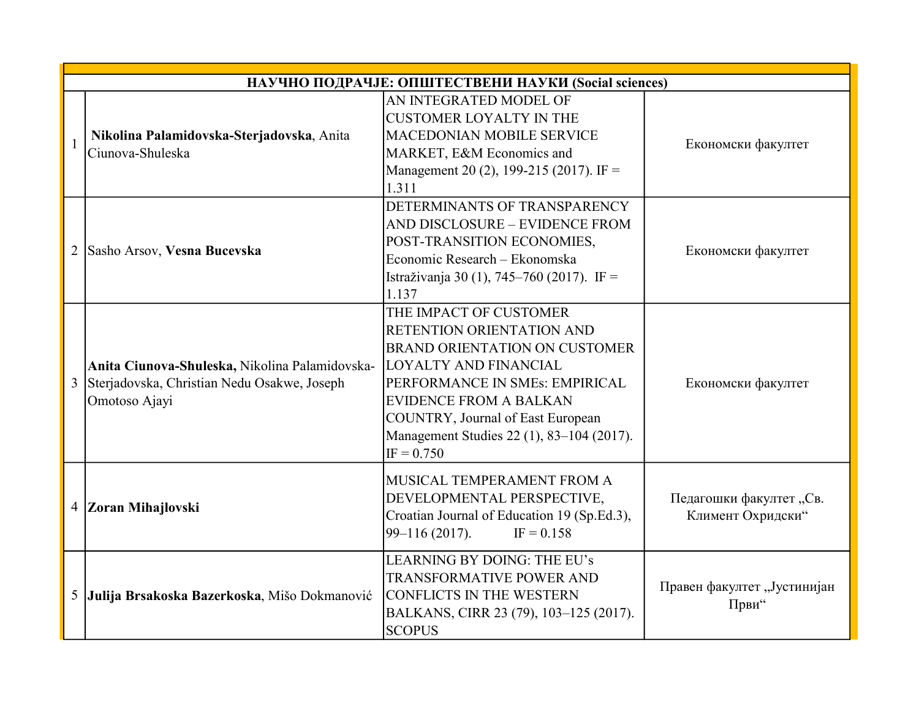|                | НАУЧНО ПОДРАЧЈЕ: ОПШТЕСТВЕНИ НАУКИ (Social sciences)                                                           |                                                                                                                                                                                                                                                                                                  |                                              |  |
|----------------|----------------------------------------------------------------------------------------------------------------|--------------------------------------------------------------------------------------------------------------------------------------------------------------------------------------------------------------------------------------------------------------------------------------------------|----------------------------------------------|--|
| 1              | Nikolina Palamidovska-Sterjadovska, Anita<br>Ciunova-Shuleska                                                  | AN INTEGRATED MODEL OF<br><b>CUSTOMER LOYALTY IN THE</b><br><b>MACEDONIAN MOBILE SERVICE</b><br>MARKET, E&M Economics and<br>Management 20 (2), 199-215 (2017). IF =<br>1.311                                                                                                                    | Економски факултет                           |  |
| $\overline{2}$ | Sasho Arsov, Vesna Bucevska                                                                                    | DETERMINANTS OF TRANSPARENCY<br>AND DISCLOSURE - EVIDENCE FROM<br>POST-TRANSITION ECONOMIES,<br>Economic Research - Ekonomska<br>Istraživanja 30 (1), 745–760 (2017). IF =<br>1.137                                                                                                              | Економски факултет                           |  |
| 3              | Anita Ciunova-Shuleska, Nikolina Palamidovska-<br>Sterjadovska, Christian Nedu Osakwe, Joseph<br>Omotoso Ajayi | THE IMPACT OF CUSTOMER<br>RETENTION ORIENTATION AND<br><b>BRAND ORIENTATION ON CUSTOMER</b><br><b>LOYALTY AND FINANCIAL</b><br>PERFORMANCE IN SMEs: EMPIRICAL<br><b>EVIDENCE FROM A BALKAN</b><br>COUNTRY, Journal of East European<br>Management Studies 22 (1), 83-104 (2017).<br>$IF = 0.750$ | Економски факултет                           |  |
| $\overline{4}$ | Zoran Mihajlovski                                                                                              | MUSICAL TEMPERAMENT FROM A<br>DEVELOPMENTAL PERSPECTIVE,<br>Croatian Journal of Education 19 (Sp.Ed.3),<br>$99 - 116(2017)$ .<br>$IF = 0.158$                                                                                                                                                    | Педагошки факултет "Св.<br>Климент Охридски" |  |
| 5              | Julija Brsakoska Bazerkoska, Mišo Dokmanović                                                                   | LEARNING BY DOING: THE EU's<br><b>TRANSFORMATIVE POWER AND</b><br><b>CONFLICTS IN THE WESTERN</b><br>BALKANS, CIRR 23 (79), 103-125 (2017).<br><b>SCOPUS</b>                                                                                                                                     | Правен факултет "Јустинијан<br>Први"         |  |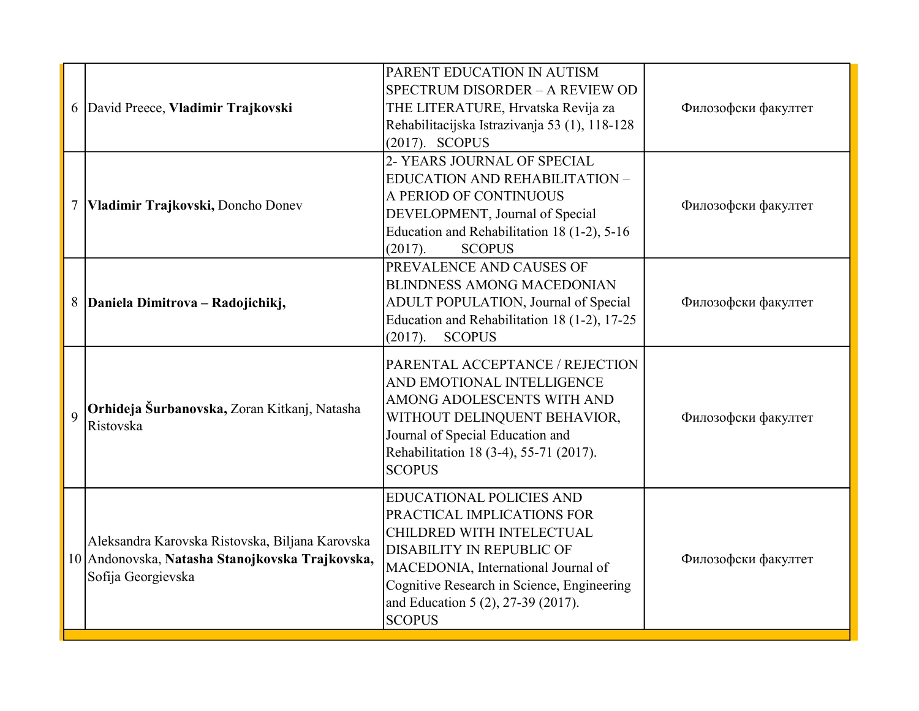|                | 6 David Preece, Vladimir Trajkovski                                                                                      | PARENT EDUCATION IN AUTISM<br>SPECTRUM DISORDER - A REVIEW OD<br>THE LITERATURE, Hrvatska Revija za<br>Rehabilitacijska Istrazivanja 53 (1), 118-128<br>$(2017)$ . SCOPUS                                                                                                  | Филозофски факултет |
|----------------|--------------------------------------------------------------------------------------------------------------------------|----------------------------------------------------------------------------------------------------------------------------------------------------------------------------------------------------------------------------------------------------------------------------|---------------------|
| $\tau$         | Vladimir Trajkovski, Doncho Donev                                                                                        | 2- YEARS JOURNAL OF SPECIAL<br>EDUCATION AND REHABILITATION -<br>A PERIOD OF CONTINUOUS<br>DEVELOPMENT, Journal of Special<br>Education and Rehabilitation 18 (1-2), 5-16<br>(2017).<br><b>SCOPUS</b>                                                                      | Филозофски факултет |
|                | 8   Daniela Dimitrova – Radojichikj,                                                                                     | PREVALENCE AND CAUSES OF<br><b>BLINDNESS AMONG MACEDONIAN</b><br>ADULT POPULATION, Journal of Special<br>Education and Rehabilitation 18 (1-2), 17-25<br>(2017).<br><b>SCOPUS</b>                                                                                          | Филозофски факултет |
| $\overline{Q}$ | Orhideja Šurbanovska, Zoran Kitkanj, Natasha<br>Ristovska                                                                | PARENTAL ACCEPTANCE / REJECTION<br>AND EMOTIONAL INTELLIGENCE<br>AMONG ADOLESCENTS WITH AND<br>WITHOUT DELINQUENT BEHAVIOR,<br>Journal of Special Education and<br>Rehabilitation 18 (3-4), 55-71 (2017).<br><b>SCOPUS</b>                                                 | Филозофски факултет |
|                | Aleksandra Karovska Ristovska, Biljana Karovska<br>10 Andonovska, Natasha Stanojkovska Trajkovska,<br>Sofija Georgievska | <b>EDUCATIONAL POLICIES AND</b><br>PRACTICAL IMPLICATIONS FOR<br>CHILDRED WITH INTELECTUAL<br><b>DISABILITY IN REPUBLIC OF</b><br>MACEDONIA, International Journal of<br>Cognitive Research in Science, Engineering<br>and Education 5 (2), 27-39 (2017).<br><b>SCOPUS</b> | Филозофски факултет |